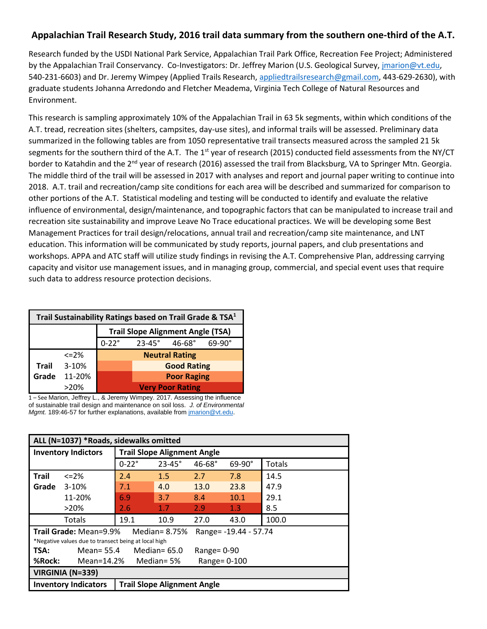## **Appalachian Trail Research Study, 2016 trail data summary from the southern one-third of the A.T.**

Research funded by the USDI National Park Service, Appalachian Trail Park Office, Recreation Fee Project; Administered by the Appalachian Trail Conservancy. Co-Investigators: Dr. Jeffrey Marion (U.S. Geological Survey, *jmarion@vt.edu,* 540-231-6603) and Dr. Jeremy Wimpey (Applied Trails Research, [appliedtrailsresearch@gmail.com,](mailto:appliedtrailsresearch@gmail.com) 443-629-2630), with graduate students Johanna Arredondo and Fletcher Meadema, Virginia Tech College of Natural Resources and Environment.

This research is sampling approximately 10% of the Appalachian Trail in 63 5k segments, within which conditions of the A.T. tread, recreation sites (shelters, campsites, day-use sites), and informal trails will be assessed. Preliminary data summarized in the following tables are from 1050 representative trail transects measured across the sampled 21 5k segments for the southern third of the A.T. The  $1<sup>st</sup>$  year of research (2015) conducted field assessments from the NY/CT border to Katahdin and the  $2^{nd}$  year of research (2016) assessed the trail from Blacksburg, VA to Springer Mtn. Georgia. The middle third of the trail will be assessed in 2017 with analyses and report and journal paper writing to continue into 2018. A.T. trail and recreation/camp site conditions for each area will be described and summarized for comparison to other portions of the A.T. Statistical modeling and testing will be conducted to identify and evaluate the relative influence of environmental, design/maintenance, and topographic factors that can be manipulated to increase trail and recreation site sustainability and improve Leave No Trace educational practices. We will be developing some Best Management Practices for trail design/relocations, annual trail and recreation/camp site maintenance, and LNT education. This information will be communicated by study reports, journal papers, and club presentations and workshops. APPA and ATC staff will utilize study findings in revising the A.T. Comprehensive Plan, addressing carrying capacity and visitor use management issues, and in managing group, commercial, and special event uses that require such data to address resource protection decisions.

|                                          | Trail Sustainability Ratings based on Trail Grade & TSA <sup>1</sup> |              |                 |                         |               |  |  |  |  |  |  |
|------------------------------------------|----------------------------------------------------------------------|--------------|-----------------|-------------------------|---------------|--|--|--|--|--|--|
| <b>Trail Slope Alignment Angle (TSA)</b> |                                                                      |              |                 |                         |               |  |  |  |  |  |  |
|                                          |                                                                      | $0-22^\circ$ | $23 - 45^\circ$ | $46 - 68$ °             | $69-90^\circ$ |  |  |  |  |  |  |
|                                          | $\leq$ = 2%                                                          |              |                 | <b>Neutral Rating</b>   |               |  |  |  |  |  |  |
| <b>Trail</b>                             | $3 - 10%$                                                            |              |                 | <b>Good Rating</b>      |               |  |  |  |  |  |  |
| Grade                                    | 11-20%                                                               |              |                 | <b>Poor Raging</b>      |               |  |  |  |  |  |  |
|                                          | >20%                                                                 |              |                 | <b>Very Poor Rating</b> |               |  |  |  |  |  |  |

1 – See Marion, Jeffrey L., & Jeremy Wimpey. 2017. Assessing the influence of sustainable trail design and maintenance on soil loss. *J. of Environmental Mgmt.* 189:46-57 for further explanations, available from [jmarion@vt.edu.](mailto:jmarion@vt.edu)

|              | ALL (N=1037) *Roads, sidewalks omitted               |                                    |                                    |               |                       |        |  |  |  |  |  |
|--------------|------------------------------------------------------|------------------------------------|------------------------------------|---------------|-----------------------|--------|--|--|--|--|--|
|              | <b>Inventory Indictors</b>                           | <b>Trail Slope Alignment Angle</b> |                                    |               |                       |        |  |  |  |  |  |
|              |                                                      | $0-22^\circ$                       | $23 - 45^{\circ}$                  | $46-68^\circ$ | $69 - 90^\circ$       | Totals |  |  |  |  |  |
| <b>Trail</b> | $<=2%$                                               | 2.4                                | 1.5                                | 2.7           | 7.8                   | 14.5   |  |  |  |  |  |
| Grade        | $3-10%$                                              | 7.1                                | 4.0                                | 13.0          | 23.8                  | 47.9   |  |  |  |  |  |
|              | 11-20%                                               | 6.9                                | 3.7                                | 8.4           | 10.1                  | 29.1   |  |  |  |  |  |
|              | >20%                                                 | 2.6                                | 1.7                                | 2.9           | 1.3                   | 8.5    |  |  |  |  |  |
|              | Totals                                               | 19.1                               | 10.9                               | 27.0          | 43.0                  | 100.0  |  |  |  |  |  |
|              | <b>Trail Grade: Mean=9.9%</b>                        |                                    | Median = $8.75%$                   |               | Range= -19.44 - 57.74 |        |  |  |  |  |  |
|              | *Negative values due to transect being at local high |                                    |                                    |               |                       |        |  |  |  |  |  |
| TSA:         | Mean= 55.4                                           |                                    | Median= $65.0$                     | Range= $0-90$ |                       |        |  |  |  |  |  |
| %Rock:       | Mean=14.2%                                           |                                    | Median= 5%                         | Range= 0-100  |                       |        |  |  |  |  |  |
|              | <b>VIRGINIA (N=339)</b>                              |                                    |                                    |               |                       |        |  |  |  |  |  |
|              | <b>Inventory Indicators</b>                          |                                    | <b>Trail Slope Alignment Angle</b> |               |                       |        |  |  |  |  |  |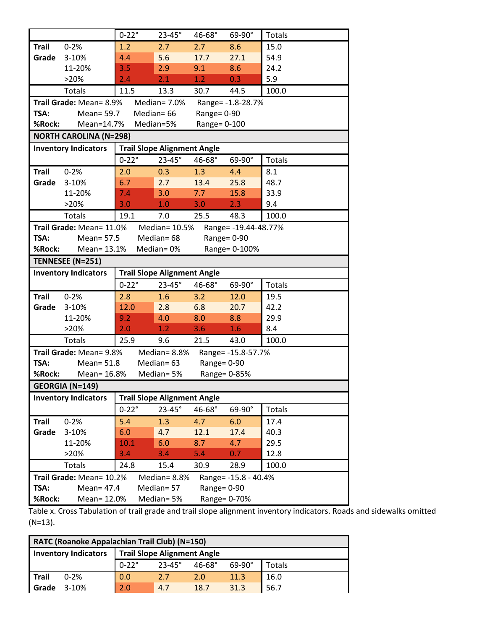|                |                               | $0 - 22°$                          | $23-45^\circ$            | 46-68°           | 69-90°               | <b>Totals</b> |
|----------------|-------------------------------|------------------------------------|--------------------------|------------------|----------------------|---------------|
| <b>Trail</b>   | $0 - 2%$                      | 1.2                                | 2.7                      | 2.7              | 8.6                  | 15.0          |
| Grade          | 3-10%                         | 4.4                                | 5.6                      | 17.7             | 27.1                 | 54.9          |
|                | 11-20%                        | 3.5                                | 2.9                      | 9.1              | 8.6                  | 24.2          |
|                | >20%                          | 2.4                                | 2.1                      | 1.2              | 0.3                  | 5.9           |
|                | <b>Totals</b>                 | 11.5                               | 13.3                     | 30.7             | 44.5                 | 100.0         |
|                | Trail Grade: Mean= 8.9%       |                                    | Median= 7.0%             |                  | Range= -1.8-28.7%    |               |
| TSA:           | Mean= 59.7                    |                                    | Median= 66               | Range= $0-90$    |                      |               |
| %Rock:         | Mean=14.7%                    |                                    | Median=5%                | Range= 0-100     |                      |               |
|                | <b>NORTH CAROLINA (N=298)</b> |                                    |                          |                  |                      |               |
|                | <b>Inventory Indicators</b>   | <b>Trail Slope Alignment Angle</b> |                          |                  |                      |               |
|                |                               | $0-22^\circ$                       | $23-45^\circ$            | 46-68°           | 69-90°               | Totals        |
| <b>Trail</b>   | $0 - 2%$                      | 2.0                                | 0.3                      | 1.3              | 4.4                  | 8.1           |
| Grade          | 3-10%                         | 6.7                                | 2.7                      | 13.4             | 25.8                 | 48.7          |
|                | 11-20%                        | 7.4                                | 3.0                      | 7.7 <sub>2</sub> | 15.8                 | 33.9          |
|                | >20%                          | 3.0                                | 1.0                      | 3.0              | 2.3                  | 9.4           |
|                | Totals                        | 19.1                               | 7.0                      | 25.5             | 48.3                 | 100.0         |
|                | Trail Grade: Mean= 11.0%      |                                    | Median= 10.5%            |                  | Range= -19.44-48.77% |               |
| TSA:           | Mean= 57.5                    |                                    | Median=68                |                  | Range= 0-90          |               |
| %Rock:         | Mean= 13.1%                   |                                    | Median=0%                |                  | Range= 0-100%        |               |
|                | TENNESEE (N=251)              |                                    |                          |                  |                      |               |
|                | <b>Inventory Indicators</b>   | <b>Trail Slope Alignment Angle</b> |                          |                  |                      |               |
|                |                               |                                    |                          |                  |                      |               |
|                |                               | $0-22^\circ$                       | $23-45^\circ$            | 46-68°           | 69-90°               | Totals        |
| <b>Trail</b>   | $0 - 2%$                      | 2.8                                | 1.6                      | 3.2              | 12.0                 | 19.5          |
| Grade          | 3-10%                         | 12.0                               | 2.8                      | 6.8              | 20.7                 | 42.2          |
|                | 11-20%                        | 9.2                                | 4.0                      | 8.0              | 8.8                  | 29.9          |
|                | >20%                          | 2.0                                | 1.2                      | 3.6              | 1.6                  | 8.4           |
|                | Totals                        | 25.9                               | 9.6                      | 21.5             | 43.0                 | 100.0         |
|                | Trail Grade: Mean= 9.8%       |                                    | Median= 8.8%             |                  | Range= -15.8-57.7%   |               |
| TSA:           | Mean= 51.8                    |                                    | Median= 63               | Range= 0-90      |                      |               |
| %Rock:         | Mean= 16.8%                   |                                    | Median=5%                |                  | Range= 0-85%         |               |
|                | <b>GEORGIA (N=149)</b>        |                                    |                          |                  |                      |               |
|                | <b>Inventory Indicators</b>   | <b>Trail Slope Alignment Angle</b> |                          |                  |                      |               |
|                |                               | $0-22^\circ$                       | $23-45^\circ$            | 46-68°           | 69-90°               | <b>Totals</b> |
| <b>Trail</b>   | $0 - 2%$                      | 5.4                                | 1.3                      | 4.7              | 6.0                  | 17.4          |
| Grade          | 3-10%                         | 6.0                                | 4.7                      | 12.1             | 17.4                 | 40.3          |
|                | 11-20%                        | 10.1                               | 6.0                      | 8.7              | 4.7                  | 29.5          |
|                | >20%                          | 3.4                                | 3.4                      | 5.4              | 0.7                  | 12.8          |
|                | <b>Totals</b>                 | 24.8                               | 15.4                     | 30.9             | 28.9                 | 100.0         |
|                | Trail Grade: Mean= 10.2%      |                                    | Median= 8.8%             |                  | Range= -15.8 - 40.4% |               |
| TSA:<br>%Rock: | Mean= 47.4<br>Mean= 12.0%     |                                    | Median= 57<br>Median= 5% | Range= 0-90      | Range= 0-70%         |               |

Table x. Cross Tabulation of trail grade and trail slope alignment inventory indicators. Roads and sidewalks omitted (N=13).

| RATC (Roanoke Appalachian Trail Club) (N=150)                     |                  |                   |             |               |        |  |  |  |  |  |
|-------------------------------------------------------------------|------------------|-------------------|-------------|---------------|--------|--|--|--|--|--|
| <b>Trail Slope Alignment Angle</b><br><b>Inventory Indicators</b> |                  |                   |             |               |        |  |  |  |  |  |
|                                                                   | $0 - 22^{\circ}$ | $23 - 45^{\circ}$ | $46 - 68$ ° | $69-90^\circ$ | Totals |  |  |  |  |  |
| Trail<br>$0 - 2%$                                                 | 0.0              | 2.7               | 2.0         | 11.3          | 16.0   |  |  |  |  |  |
| Grade<br>$3-10%$                                                  | 2.0              | 4.7               | 18.7        | 31.3          | 56.7   |  |  |  |  |  |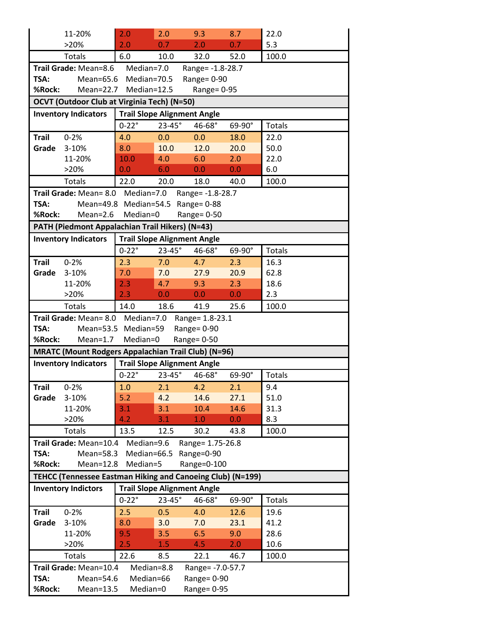|              | 11-20%                                                            | 2.0                                | 2.0                                | 9.3              | 8.7    | 22.0          |
|--------------|-------------------------------------------------------------------|------------------------------------|------------------------------------|------------------|--------|---------------|
|              | >20%                                                              | 2.0                                | 0.7                                | 2.0              | 0.7    | 5.3           |
|              | <b>Totals</b>                                                     | 6.0                                | 10.0                               | 32.0             | 52.0   | 100.0         |
|              | Trail Grade: Mean=8.6                                             | Median=7.0                         |                                    | Range= -1.8-28.7 |        |               |
| TSA:         | $Mean=65.6$                                                       | Median=70.5                        |                                    | Range= 0-90      |        |               |
| %Rock:       | $Mean=22.7$                                                       | Median=12.5                        |                                    | Range= 0-95      |        |               |
|              | <b>OCVT (Outdoor Club at Virginia Tech) (N=50)</b>                |                                    |                                    |                  |        |               |
|              | <b>Inventory Indicators</b>                                       | <b>Trail Slope Alignment Angle</b> |                                    |                  |        |               |
|              |                                                                   | $0-22^\circ$                       | $23-45^\circ$                      | 46-68°           | 69-90° | <b>Totals</b> |
| <b>Trail</b> | $0 - 2%$                                                          | 4.0                                | 0.0                                | 0.0              | 18.0   | 22.0          |
| Grade        | 3-10%                                                             | 8.0                                | 10.0                               | 12.0             | 20.0   | 50.0          |
|              | 11-20%                                                            | 10.0                               | 4.0                                | 6.0              | 2.0    | 22.0          |
|              | >20%                                                              | 0.0                                | 6.0                                | 0.0              | 0.0    | 6.0           |
|              | Totals                                                            | 22.0                               | 20.0                               | 18.0             | 40.0   | 100.0         |
|              | Trail Grade: Mean= 8.0 Median=7.0                                 |                                    |                                    | Range= -1.8-28.7 |        |               |
| TSA:         |                                                                   | Mean=49.8 Median=54.5 Range= 0-88  |                                    |                  |        |               |
| %Rock:       | $Mean=2.6$                                                        | Median=0                           |                                    | Range= 0-50      |        |               |
|              | PATH (Piedmont Appalachian Trail Hikers) (N=43)                   |                                    |                                    |                  |        |               |
|              | <b>Inventory Indicators</b>                                       |                                    | <b>Trail Slope Alignment Angle</b> |                  |        |               |
|              |                                                                   | $0 - 22^{\circ}$                   | $23-45^\circ$                      | 46-68°           | 69-90° | <b>Totals</b> |
| <b>Trail</b> | $0 - 2%$                                                          | 2.3                                | 7.0                                | 4.7              | 2.3    | 16.3          |
| Grade        | 3-10%                                                             | 7.0                                | 7.0                                | 27.9             | 20.9   | 62.8          |
|              | 11-20%                                                            | 2.3                                | 4.7                                | 9.3              | 2.3    | 18.6          |
|              | >20%                                                              | 2.3                                | 0.0                                | 0.0              | 0.0    | 2.3           |
|              | Totals                                                            | 14.0                               | 18.6                               | 41.9             | 25.6   | 100.0         |
|              |                                                                   |                                    |                                    |                  |        |               |
|              | Trail Grade: Mean= 8.0 Median=7.0                                 |                                    |                                    | Range= 1.8-23.1  |        |               |
| TSA:         |                                                                   | Mean=53.5 Median=59                |                                    | Range= 0-90      |        |               |
| %Rock:       | $Mean=1.7$                                                        | Median=0                           |                                    | Range= 0-50      |        |               |
|              | <b>MRATC (Mount Rodgers Appalachian Trail Club) (N=96)</b>        |                                    |                                    |                  |        |               |
|              | <b>Inventory Indicators</b>                                       |                                    | <b>Trail Slope Alignment Angle</b> |                  |        |               |
|              |                                                                   | $0-22^\circ$                       | $23 - 45^{\circ}$                  | 46-68°           | 69-90° | <b>Totals</b> |
| Trail        | $0 - 2%$                                                          | 1.0                                | 2.1                                | 4.2              | 2.1    | 9.4           |
| Grade        | 3-10%                                                             | 5.2                                | 4.2                                | 14.6             | 27.1   | 51.0          |
|              | 11-20%                                                            | 3.1                                | 3.1                                | 10.4             | 14.6   | 31.3          |
|              | >20%                                                              | 4.2                                | 3.1                                | 1.0              | 0.0    | 8.3           |
|              | <b>Totals</b>                                                     | 13.5                               | 12.5                               | 30.2             | 43.8   | 100.0         |
|              | Trail Grade: Mean=10.4                                            | Median=9.6                         |                                    | Range= 1.75-26.8 |        |               |
| TSA:         | Mean=58.3                                                         | Median=66.5                        |                                    | Range=0-90       |        |               |
| %Rock:       | $Mean=12.8$                                                       | Median=5                           |                                    | Range=0-100      |        |               |
|              | <b>TEHCC (Tennessee Eastman Hiking and Canoeing Club) (N=199)</b> |                                    |                                    |                  |        |               |
|              | <b>Inventory Indictors</b>                                        |                                    | <b>Trail Slope Alignment Angle</b> |                  |        |               |
|              |                                                                   | $0 - 22°$                          | $23-45^\circ$                      | 46-68°           | 69-90° | <b>Totals</b> |
| <b>Trail</b> | $0 - 2%$                                                          | 2.5                                | 0.5                                | 4.0              | 12.6   | 19.6          |
| Grade        | 3-10%                                                             | 8.0                                | 3.0                                | 7.0              | 23.1   | 41.2          |
|              | 11-20%                                                            | 9.5                                | 3.5                                | 6.5              | 9.0    | 28.6          |
|              | >20%                                                              | 2.5                                | 1.5                                | 4.5              | 2.0    | 10.6          |
|              | <b>Totals</b>                                                     | 22.6                               | 8.5                                | 22.1             | 46.7   | 100.0         |
|              | Trail Grade: Mean=10.4                                            | Median=8.8                         |                                    | Range= -7.0-57.7 |        |               |
| TSA:         | Mean=54.6                                                         | Median=66                          |                                    | Range= 0-90      |        |               |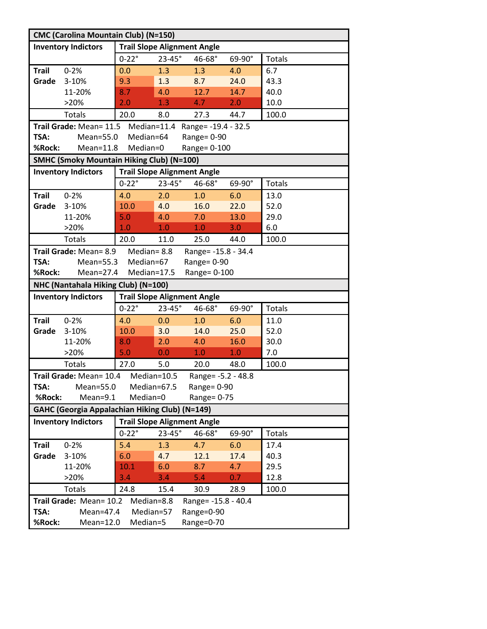| <b>CMC (Carolina Mountain Club) (N=150)</b> |                                                       |                                    |               |                                 |                  |               |  |  |  |  |
|---------------------------------------------|-------------------------------------------------------|------------------------------------|---------------|---------------------------------|------------------|---------------|--|--|--|--|
|                                             | <b>Inventory Indictors</b>                            | <b>Trail Slope Alignment Angle</b> |               |                                 |                  |               |  |  |  |  |
|                                             |                                                       | $0-22^\circ$                       | $23-45^\circ$ | 46-68°                          | 69-90°           | Totals        |  |  |  |  |
| <b>Trail</b>                                | $0 - 2%$                                              | 0.0                                | 1.3           | 1.3                             | 4.0              | 6.7           |  |  |  |  |
| Grade                                       | 3-10%                                                 | 9.3                                | 1.3           | 8.7                             | 24.0             | 43.3          |  |  |  |  |
|                                             | 11-20%                                                | 8.7                                | 4.0           | 12.7                            | 14.7             | 40.0          |  |  |  |  |
|                                             | >20%                                                  | 2.0                                | 1.3           | 4.7                             | 2.0              | 10.0          |  |  |  |  |
|                                             | Totals                                                | 20.0                               | 8.0           | 27.3                            | 44.7             | 100.0         |  |  |  |  |
|                                             | Trail Grade: Mean= 11.5                               |                                    |               | Median=11.4 Range= -19.4 - 32.5 |                  |               |  |  |  |  |
| TSA:                                        | Mean=55.0                                             | Median=64                          |               | Range= 0-90                     |                  |               |  |  |  |  |
| %Rock:                                      | $Mean=11.8$                                           | Median=0                           |               | Range= 0-100                    |                  |               |  |  |  |  |
|                                             | <b>SMHC (Smoky Mountain Hiking Club) (N=100)</b>      |                                    |               |                                 |                  |               |  |  |  |  |
|                                             | <b>Inventory Indictors</b>                            | <b>Trail Slope Alignment Angle</b> |               |                                 |                  |               |  |  |  |  |
|                                             |                                                       | $0-22^\circ$                       | $23-45^\circ$ | 46-68°                          | 69-90°           | <b>Totals</b> |  |  |  |  |
| <b>Trail</b>                                | $0 - 2%$                                              | 4.0                                | 2.0           | 1.0                             | 6.0              | 13.0          |  |  |  |  |
| Grade                                       | 3-10%                                                 | 10.0                               | 4.0           | 16.0                            | 22.0             | 52.0          |  |  |  |  |
|                                             | 11-20%                                                | 5.0                                | 4.0           | 7.0                             | 13.0             | 29.0          |  |  |  |  |
|                                             | >20%                                                  | $\overline{1.0}$                   | 1.0           | 1.0                             | 3.0              | 6.0           |  |  |  |  |
|                                             | <b>Totals</b>                                         | 20.0                               | 11.0          | 25.0                            | 44.0             | 100.0         |  |  |  |  |
|                                             | Trail Grade: Mean= 8.9                                | Median=8.8                         |               | Range= -15.8 - 34.4             |                  |               |  |  |  |  |
| TSA:                                        | $Mean = 55.3$                                         | Median=67                          |               | Range= 0-90                     |                  |               |  |  |  |  |
| %Rock:                                      | $Mean=27.4$                                           | Median=17.5                        |               | Range= 0-100                    |                  |               |  |  |  |  |
|                                             | NHC (Nantahala Hiking Club) (N=100)                   |                                    |               |                                 |                  |               |  |  |  |  |
|                                             | <b>Inventory Indictors</b>                            | <b>Trail Slope Alignment Angle</b> |               |                                 |                  |               |  |  |  |  |
|                                             |                                                       | $0-22^\circ$                       | $23-45^\circ$ | 46-68°                          | 69-90°           | Totals        |  |  |  |  |
| <b>Trail</b>                                | $0 - 2%$                                              | 4.0                                | 0.0           | 1.0                             | 6.0              | 11.0          |  |  |  |  |
|                                             |                                                       |                                    | 3.0           |                                 |                  |               |  |  |  |  |
| Grade                                       | 3-10%                                                 | 10.0                               |               | 14.0                            | 25.0             | 52.0          |  |  |  |  |
|                                             | 11-20%                                                | 8.0                                | 2.0           | 4.0                             | 16.0             | 30.0          |  |  |  |  |
|                                             | >20%                                                  | 5.0                                | 0.0           | 1.0                             | 1.0              | 7.0           |  |  |  |  |
|                                             | Totals                                                | 27.0                               | 5.0           | 20.0                            | 48.0             | 100.0         |  |  |  |  |
|                                             | Trail Grade: Mean= 10.4 Median=10.5                   |                                    |               | Range= -5.2 - 48.8              |                  |               |  |  |  |  |
| TSA:                                        | Mean=55.0                                             | Median=67.5                        |               | Range= $0-90$                   |                  |               |  |  |  |  |
| %Rock:                                      | Mean=9.1                                              | Median=0                           |               | Range= 0-75                     |                  |               |  |  |  |  |
|                                             | <b>GAHC (Georgia Appalachian Hiking Club) (N=149)</b> |                                    |               |                                 |                  |               |  |  |  |  |
|                                             | <b>Inventory Indictors</b>                            | <b>Trail Slope Alignment Angle</b> |               |                                 |                  |               |  |  |  |  |
|                                             |                                                       | $0-22^\circ$                       | $23-45^\circ$ | 46-68°                          | 69-90°           | <b>Totals</b> |  |  |  |  |
| <b>Trail</b>                                | $0 - 2%$                                              | 5.4                                | 1.3           | 4.7                             | 6.0              | 17.4          |  |  |  |  |
| Grade                                       | 3-10%                                                 | 6.0                                | 4.7           | 12.1                            | 17.4             | 40.3          |  |  |  |  |
|                                             | 11-20%                                                | 10.1                               | 6.0           | 8.7                             | 4.7              | 29.5          |  |  |  |  |
|                                             | >20%                                                  | 3.4                                | 3.4           | 5.4                             | 0.7 <sub>z</sub> | 12.8          |  |  |  |  |
|                                             | <b>Totals</b>                                         | 24.8                               | 15.4          | 30.9                            | 28.9             | 100.0         |  |  |  |  |
|                                             | Trail Grade: Mean= 10.2                               | Median=8.8                         |               | Range= -15.8 - 40.4             |                  |               |  |  |  |  |
| TSA:                                        | $Mean=47.4$                                           | Median=57                          |               | Range=0-90<br>Range=0-70        |                  |               |  |  |  |  |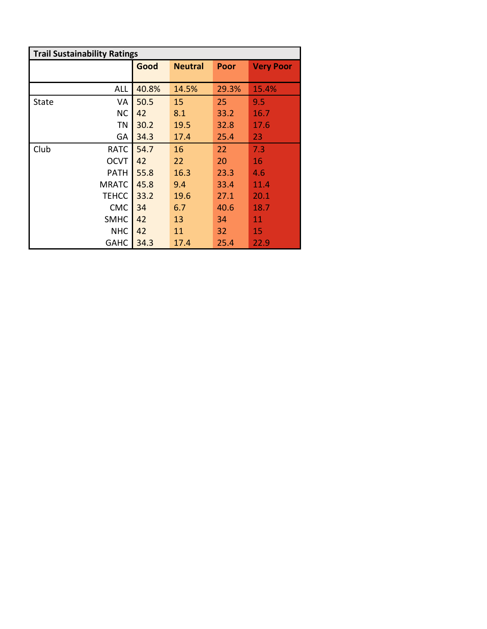| <b>Trail Sustainability Ratings</b> |              |       |                |             |                  |
|-------------------------------------|--------------|-------|----------------|-------------|------------------|
|                                     |              | Good  | <b>Neutral</b> | <b>Poor</b> | <b>Very Poor</b> |
|                                     |              |       |                |             |                  |
|                                     | ALL          | 40.8% | 14.5%          | 29.3%       | 15.4%            |
| State                               | VA           | 50.5  | 15             | 25          | 9.5              |
|                                     | <b>NC</b>    | 42    | 8.1            | 33.2        | 16.7             |
|                                     | ΤN           | 30.2  | 19.5           | 32.8        | 17.6             |
|                                     | GА           | 34.3  | 17.4           | 25.4        | 23               |
| Club                                | <b>RATC</b>  | 54.7  | 16             | 22          | 7.3              |
|                                     | <b>OCVT</b>  | 42    | 22             | 20          | 16               |
|                                     | <b>PATH</b>  | 55.8  | 16.3           | 23.3        | 4.6              |
|                                     | <b>MRATC</b> | 45.8  | 9.4            | 33.4        | 11.4             |
|                                     | <b>TEHCC</b> | 33.2  | 19.6           | 27.1        | 20.1             |
|                                     | <b>CMC</b>   | 34    | 6.7            | 40.6        | 18.7             |
|                                     | <b>SMHC</b>  | 42    | 13             | 34          | 11               |
|                                     | <b>NHC</b>   | 42    | 11             | 32          | 15               |
|                                     | <b>GAHC</b>  | 34.3  | 17.4           | 25.4        | 22.9             |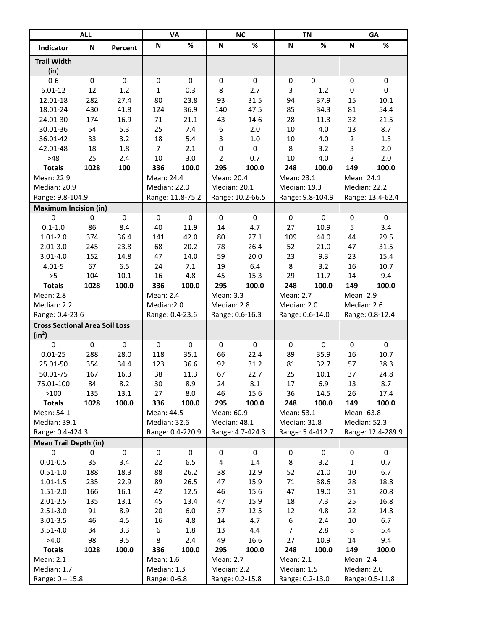|                                                   | <b>ALL</b>  |           |                 | <b>VA</b>        |                         | <b>NC</b>        |              | <b>TN</b>        |                  | GA                |
|---------------------------------------------------|-------------|-----------|-----------------|------------------|-------------------------|------------------|--------------|------------------|------------------|-------------------|
| Indicator                                         | N           | Percent   | N               | $\%$             | N                       | %                | N            | %                | N                | %                 |
| <b>Trail Width</b><br>(in)                        |             |           |                 |                  |                         |                  |              |                  |                  |                   |
| $0 - 6$                                           | $\pmb{0}$   | $\pmb{0}$ | $\bf{0}$        | $\pmb{0}$        | $\pmb{0}$               | $\pmb{0}$        | $\pmb{0}$    | $\pmb{0}$        | $\pmb{0}$        | $\pmb{0}$         |
| $6.01 - 12$                                       | 12          | 1.2       | $\mathbf{1}$    | 0.3              | 8                       | 2.7              | 3            | 1.2              | $\mathbf 0$      | $\pmb{0}$         |
| 12.01-18                                          | 282         | 27.4      | 80              | 23.8             | 93                      | 31.5             | 94           | 37.9             | 15               | 10.1              |
| 18.01-24                                          | 430         | 41.8      | 124             | 36.9             | 140                     | 47.5             | 85           | 34.3             | 81               | 54.4              |
| 24.01-30                                          | 174         | 16.9      | 71              | 21.1             | 43                      | 14.6             | 28           | 11.3             | 32               | 21.5              |
| 30.01-36                                          | 54          | 5.3       | 25              | 7.4              | 6                       | 2.0              | 10           | 4.0              | 13               | 8.7               |
| 36.01-42                                          | 33          | 3.2       | 18              | 5.4              | 3                       | 1.0              | 10           | 4.0              | $\overline{2}$   | 1.3               |
| 42.01-48                                          | 18          | 1.8       | $\overline{7}$  | 2.1              | $\pmb{0}$               | 0                | 8            | 3.2              | 3                | 2.0               |
| $>48$                                             | 25          | 2.4       | 10              | 3.0              | 2                       | 0.7              | 10           | 4.0              | 3                | 2.0               |
| <b>Totals</b>                                     | 1028        | 100       | 336             | 100.0            | 295                     | 100.0            | 248          | 100.0            | 149              | 100.0             |
| Mean: 22.9                                        |             |           | Mean: 24.4      |                  | Mean: 20.4              |                  | Mean: 23.1   |                  | Mean: 24.1       |                   |
| Median: 20.9                                      |             |           | Median: 22.0    |                  | Median: 20.1            |                  | Median: 19.3 |                  | Median: 22.2     |                   |
| Range: 9.8-104.9                                  |             |           |                 | Range: 11.8-75.2 |                         | Range: 10.2-66.5 |              | Range: 9.8-104.9 |                  | Range: 13.4-62.4  |
| <b>Maximum Incision (in)</b>                      |             |           |                 |                  |                         |                  |              |                  |                  |                   |
| $\mathbf 0$                                       | $\mathbf 0$ | 0         | $\mathbf 0$     | 0                | $\pmb{0}$               | $\mathbf 0$      | $\mathbf 0$  | $\mathbf 0$      | $\boldsymbol{0}$ | $\pmb{0}$         |
| $0.1 - 1.0$                                       | 86          | 8.4       | 40              | 11.9             | 14                      | 4.7              | 27           | 10.9             | 5                | 3.4               |
| $1.01 - 2.0$                                      | 374         | 36.4      | 141             | 42.0             | 80                      | 27.1             | 109          | 44.0             | 44               | 29.5              |
| $2.01 - 3.0$                                      | 245         | 23.8      | 68              | 20.2             | 78                      | 26.4             | 52           | 21.0             | 47               | 31.5              |
| $3.01 - 4.0$                                      | 152         | 14.8      | 47              | 14.0             | 59                      | 20.0             | 23           | 9.3              | 23               | 15.4              |
| $4.01 - 5$                                        | 67          | 6.5       | 24              | 7.1              | 19                      | 6.4              | 8            | 3.2              | 16               | 10.7              |
| >5                                                | 104         | $10.1\,$  | 16              | 4.8              | 45                      | 15.3             | 29           | 11.7             | 14               | 9.4               |
| <b>Totals</b>                                     | 1028        | 100.0     | 336             | 100.0            | 295                     | 100.0            | 248          | 100.0            | 149              | 100.0             |
| <b>Mean: 2.8</b>                                  |             |           | Mean: 2.4       |                  | Mean: 3.3               |                  | Mean: 2.7    |                  | Mean: 2.9        |                   |
| Median: 2.2                                       |             |           | Median:2.0      |                  | Median: 2.8             |                  | Median: 2.0  |                  | Median: 2.6      |                   |
| Range: 0.4-23.6                                   |             |           | Range: 0.4-23.6 |                  |                         | Range: 0.6-16.3  |              | Range: 0.6-14.0  |                  | Range: 0.8-12.4   |
| <b>Cross Sectional Area Soil Loss</b><br>$(in^2)$ |             |           |                 |                  |                         |                  |              |                  |                  |                   |
| $\mathbf 0$                                       | $\pmb{0}$   | 0         | $\bf{0}$        | $\pmb{0}$        | 0                       | $\pmb{0}$        | $\bf{0}$     | 0                | 0                | $\pmb{0}$         |
| $0.01 - 25$                                       | 288         | 28.0      | 118             | 35.1             | 66                      | 22.4             | 89           | 35.9             | 16               | 10.7              |
| 25.01-50                                          | 354         | 34.4      | 123             | 36.6             | 92                      | 31.2             | 81           | 32.7             | 57               | 38.3              |
| 50.01-75                                          | 167         | 16.3      | 38              | 11.3             | 67                      | 22.7             | 25           | 10.1             | 37               | 24.8              |
| 75.01-100                                         | 84          | 8.2       | 30              | 8.9              | 24                      | 8.1              | 17           | 6.9              | 13               | 8.7               |
| >100                                              | 135         | 13.1      | 27              | 8.0              | 46                      | 15.6             | 36           | 14.5             | 26               | 17.4              |
| <b>Totals</b>                                     | 1028        | 100.0     | 336             | 100.0            | 295                     | 100.0            | 248          | 100.0            | 149              | 100.0             |
| Mean: 54.1                                        |             |           | Mean: 44.5      |                  | Mean: 60.9              |                  | Mean: 53.1   |                  | Mean: 63.8       |                   |
| Median: 39.1                                      |             |           | Median: 32.6    |                  | Median: 48.1            |                  | Median: 31.8 |                  | Median: 52.3     |                   |
| Range: 0.4-424.3                                  |             |           |                 | Range: 0.4-220.9 |                         | Range: 4.7-424.3 |              | Range: 5.4-412.7 |                  | Range: 12.4-289.9 |
| <b>Mean Trail Depth (in)</b><br>0                 | 0           | $\pmb{0}$ |                 | $\pmb{0}$        | $\pmb{0}$               |                  |              | 0                | $\pmb{0}$        | 0                 |
| $0.01 - 0.5$                                      | 35          | 3.4       | 0<br>22         | 6.5              | $\overline{\mathbf{4}}$ | 0<br>$1.4\,$     | 0<br>8       | 3.2              | $\mathbf 1$      | 0.7               |
| $0.51 - 1.0$                                      | 188         | 18.3      | 88              | 26.2             | 38                      | 12.9             | 52           | 21.0             | $10\,$           | 6.7               |
| $1.01 - 1.5$                                      | 235         | 22.9      | 89              | 26.5             | 47                      | 15.9             | 71           | 38.6             | 28               | 18.8              |
| $1.51 - 2.0$                                      | 166         | 16.1      | 42              | 12.5             | 46                      | 15.6             | 47           | 19.0             | 31               | 20.8              |
| $2.01 - 2.5$                                      | 135         | 13.1      | 45              | 13.4             | 47                      | 15.9             | 18           | 7.3              | 25               | 16.8              |
| $2.51 - 3.0$                                      | 91          | 8.9       | 20              | $6.0\,$          | 37                      | 12.5             | 12           | 4.8              | 22               | 14.8              |
| $3.01 - 3.5$                                      | 46          | 4.5       | 16              | 4.8              | 14                      | 4.7              | 6            | 2.4              | $10\,$           | 6.7               |
| $3.51 - 4.0$                                      | 34          | 3.3       | 6               | 1.8              | 13                      | 4.4              | 7            | 2.8              | 8                | 5.4               |
| >4.0                                              | 98          | 9.5       | 8               | 2.4              | 49                      | 16.6             | 27           | 10.9             | 14               | 9.4               |
| <b>Totals</b>                                     | 1028        | 100.0     | 336             | 100.0            | 295                     | 100.0            | 248          | 100.0            | 149              | 100.0             |
| Mean: 2.1                                         |             |           | Mean: 1.6       |                  | Mean: 2.7               |                  | Mean: 2.1    |                  | Mean: 2.4        |                   |
| Median: 1.7                                       |             |           | Median: 1.3     |                  | Median: 2.2             |                  | Median: 1.5  |                  | Median: 2.0      |                   |
| Range: $0 - 15.8$                                 |             |           | Range: 0-6.8    |                  |                         | Range: 0.2-15.8  |              | Range: 0.2-13.0  |                  | Range: 0.5-11.8   |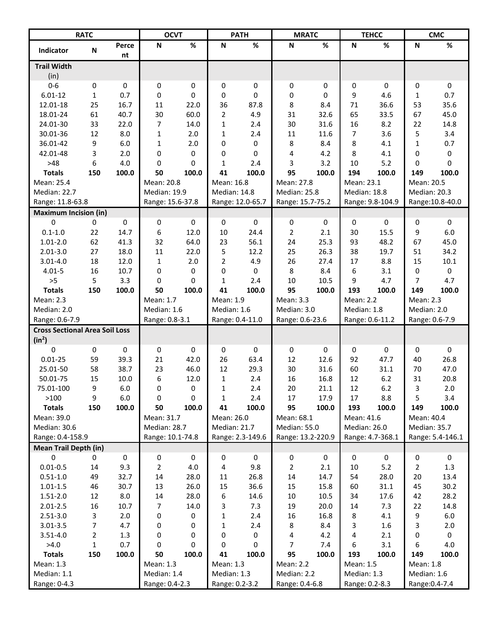|                                                   | <b>RATC</b>    |             | <b>OCVT</b>              |             |                          | <b>PATH</b>      |                          | <b>MRATC</b> |                         | <b>TEHCC</b>     |                   | <b>CMC</b>       |
|---------------------------------------------------|----------------|-------------|--------------------------|-------------|--------------------------|------------------|--------------------------|--------------|-------------------------|------------------|-------------------|------------------|
| Indicator                                         | N              | Perce<br>nt | N                        | %           | N                        | $\%$             | ${\sf N}$                | $\%$         | $\mathsf N$             | $\%$             | ${\sf N}$         | $\%$             |
| <b>Trail Width</b>                                |                |             |                          |             |                          |                  |                          |              |                         |                  |                   |                  |
| (in)                                              |                |             |                          |             |                          |                  |                          |              |                         |                  |                   |                  |
| $0 - 6$                                           | 0              | 0           | $\boldsymbol{0}$         | 0           | 0                        | 0                | 0                        | 0            | 0                       | $\mathbf 0$      | 0                 | $\mathbf 0$      |
| $6.01 - 12$                                       | $\mathbf{1}$   | 0.7         | 0                        | 0           | 0                        | 0                | 0                        | 0            | 9                       | 4.6              | 1                 | 0.7              |
| 12.01-18                                          | 25             | 16.7        | 11                       | 22.0        | 36                       | 87.8             | 8                        | 8.4          | 71                      | 36.6             | 53                | 35.6             |
| 18.01-24                                          | 61             | 40.7        | 30                       | 60.0        | $\overline{2}$           | 4.9              | 31                       | 32.6         | 65                      | 33.5             | 67                | 45.0             |
| 24.01-30                                          | 33             | 22.0        | 7                        | 14.0        | $\mathbf{1}$             | 2.4              | 30                       | 31.6         | 16                      | 8.2              | 22                | 14.8             |
| 30.01-36                                          | 12             | 8.0         | $\mathbf{1}$             | 2.0         | $\mathbf{1}$             | 2.4              | 11                       | 11.6         | $\overline{7}$          | 3.6              | 5                 | 3.4              |
| 36.01-42                                          | 9              | 6.0         | $\mathbf{1}$             | 2.0         | 0                        | 0                | 8                        | 8.4          | 8                       | 4.1              | 1                 | 0.7              |
| 42.01-48                                          | 3              | 2.0         | 0                        | 0           | 0                        | 0                | 4                        | 4.2          | 8                       | 4.1              | 0                 | 0                |
| $>48$                                             | 6              | 4.0         | 0                        | 0           | $\mathbf{1}$             | 2.4              | 3                        | 3.2          | 10                      | 5.2              | 0                 | 0                |
| <b>Totals</b>                                     | 150            | 100.0       | 50                       | 100.0       | 41                       | 100.0            | 95                       | 100.0        | 194                     | 100.0            | 149               | 100.0            |
| Mean: 25.4                                        |                |             | Mean: 20.8               |             | Mean: 16.8               |                  | Mean: 27.8               |              | Mean: 23.1              |                  | Mean: 20.5        |                  |
| Median: 22.7                                      |                |             | Median: 19.9             |             | Median: 14.8             |                  | Median: 25.8             |              | Median: 18.8            |                  | Median: 20.3      |                  |
| Range: 11.8-63.8                                  |                |             | Range: 15.6-37.8         |             |                          | Range: 12.0-65.7 | Range: 15.7-75.2         |              |                         | Range: 9.8-104.9 |                   | Range: 10.8-40.0 |
| <b>Maximum Incision (in)</b>                      |                |             |                          |             |                          |                  |                          |              |                         |                  |                   |                  |
| 0                                                 | 0              | 0           | 0                        | 0           | 0                        | $\mathbf 0$      | 0                        | $\mathbf 0$  | 0                       | $\Omega$         | 0                 | $\mathbf 0$      |
| $0.1 - 1.0$                                       | 22             | 14.7        | 6                        | 12.0        | 10                       | 24.4             | $\overline{2}$           | 2.1          | 30                      | 15.5             | 9                 | 6.0              |
| $1.01 - 2.0$                                      | 62             | 41.3        | 32                       | 64.0        | 23                       | 56.1             | 24                       | 25.3         | 93                      | 48.2             | 67                | 45.0             |
| $2.01 - 3.0$                                      | 27             | 18.0        | 11                       | 22.0        | 5                        | 12.2             | 25                       | 26.3         | 38                      | 19.7             | 51                | 34.2             |
| $3.01 - 4.0$                                      | 18             | 12.0        | $\mathbf 1$              | 2.0         | $\overline{2}$           | 4.9              | 26                       | 27.4         | 17                      | 8.8              | 15                | $10.1\,$         |
| $4.01 - 5$                                        | 16             | 10.7        | 0                        | 0           | 0                        | 0                | 8                        | 8.4          | 6                       | 3.1              | 0                 | 0                |
| >5                                                | 5              | 3.3         | 0                        | $\Omega$    | $\mathbf{1}$             | 2.4              | 10                       | 10.5         | 9                       | 4.7              | 7                 | 4.7              |
| <b>Totals</b>                                     | 150            | 100.0       | 50                       | 100.0       | 41                       | 100.0            | 95                       | 100.0        | 193<br><b>Mean: 2.2</b> | 100.0            | 149               | 100.0            |
| <b>Mean: 2.3</b>                                  |                |             | Mean: 1.7<br>Median: 1.6 |             | Mean: 1.9<br>Median: 1.6 |                  | Mean: 3.3<br>Median: 3.0 |              | Median: 1.8             |                  | <b>Mean: 2.3</b>  |                  |
| Median: 2.0<br>Range: 0.6-7.9                     |                |             | Range: 0.8-3.1           |             |                          | Range: 0.4-11.0  | Range: 0.6-23.6          |              |                         | Range: 0.6-11.2  | Median: 2.0       | Range: 0.6-7.9   |
|                                                   |                |             |                          |             |                          |                  |                          |              |                         |                  |                   |                  |
| <b>Cross Sectional Area Soil Loss</b><br>$(in^2)$ |                |             |                          |             |                          |                  |                          |              |                         |                  |                   |                  |
| 0                                                 | 0              | 0           | 0                        | $\mathbf 0$ | 0                        | 0                | 0                        | 0            | 0                       | 0                | 0                 | 0                |
| $0.01 - 25$                                       | 59             | 39.3        | 21                       | 42.0        | 26                       | 63.4             | 12                       | 12.6         | 92                      | 47.7             | 40                | 26.8             |
| 25.01-50                                          | 58             | 38.7        | 23                       | 46.0        | 12                       | 29.3             | 30                       | 31.6         | 60                      | 31.1             | 70                | 47.0             |
| 50.01-75                                          | 15             | 10.0        | 6                        | 12.0        | $\mathbf{1}$             | 2.4              | 16                       | 16.8         | 12                      | 6.2              | 31                | 20.8             |
| 75.01-100                                         | 9              | 6.0         | 0                        | 0           | 1                        | 2.4              | 20                       | 21.1         | 12                      | $6.2$            | 3                 | 2.0              |
| >100                                              | 9              | 6.0         | 0                        | 0           | 1                        | 2.4              | 17                       | 17.9         | 17                      | 8.8              | 5                 | 3.4              |
| <b>Totals</b><br>Mean: 39.0                       | 150            | 100.0       | 50<br>Mean: 31.7         | 100.0       | 41<br>Mean: 26.0         | 100.0            | 95<br>Mean: 68.1         | 100.0        | 193<br>Mean: 41.6       | 100.0            | 149<br>Mean: 40.4 | 100.0            |
| Median: 30.6                                      |                |             | Median: 28.7             |             | Median: 21.7             |                  | Median: 55.0             |              | Median: 26.0            |                  | Median: 35.7      |                  |
| Range: 0.4-158.9                                  |                |             | Range: 10.1-74.8         |             |                          | Range: 2.3-149.6 | Range: 13.2-220.9        |              |                         | Range: 4.7-368.1 |                   | Range: 5.4-146.1 |
| <b>Mean Trail Depth (in)</b>                      |                |             |                          |             |                          |                  |                          |              |                         |                  |                   |                  |
| 0                                                 | 0              | $\pmb{0}$   | 0                        | 0           | 0                        | $\pmb{0}$        | 0                        | 0            | 0                       | $\pmb{0}$        | 0                 | $\pmb{0}$        |
| $0.01 - 0.5$                                      | 14             | 9.3         | $\overline{2}$           | 4.0         | 4                        | 9.8              | $\overline{2}$           | 2.1          | 10                      | 5.2              | 2                 | 1.3              |
| $0.51 - 1.0$                                      | 49             | 32.7        | 14                       | 28.0        | 11                       | 26.8             | 14                       | 14.7         | 54                      | 28.0             | 20                | 13.4             |
| $1.01 - 1.5$                                      | 46             | 30.7        | 13                       | 26.0        | 15                       | 36.6             | 15                       | 15.8         | 60                      | 31.1             | 45                | 30.2             |
| $1.51 - 2.0$                                      | 12             | 8.0         | 14                       | 28.0        | 6                        | 14.6             | $10\,$                   | 10.5         | 34                      | 17.6             | 42                | 28.2             |
| $2.01 - 2.5$                                      | 16             | 10.7        | 7                        | 14.0        | 3                        | 7.3              | 19                       | 20.0         | 14                      | 7.3              | 22                | 14.8             |
| $2.51 - 3.0$                                      | 3              | 2.0         | $\pmb{0}$                | 0           | $\mathbf 1$              | 2.4              | 16                       | 16.8         | 8                       | 4.1              | 9                 | $6.0\,$          |
| $3.01 - 3.5$                                      | 7              | 4.7         | $\pmb{0}$                | 0           | $\mathbf 1$              | 2.4              | 8                        | 8.4          | 3                       | 1.6              | 3                 | 2.0              |
| $3.51 - 4.0$                                      | $\overline{2}$ | 1.3         | 0                        | 0           | 0                        | 0                | 4                        | 4.2          | 4                       | 2.1              | 0                 | 0                |
| >4.0                                              | $\mathbf{1}$   | 0.7         | 0                        | 0           | 0                        | 0                | $\overline{7}$           | 7.4          | 6                       | 3.1              | 6                 | 4.0              |
| <b>Totals</b>                                     | 150            | 100.0       | 50                       | 100.0       | 41                       | 100.0            | 95                       | 100.0        | 193                     | 100.0            | 149               | 100.0            |
| Mean: 1.3                                         |                |             | Mean: 1.3                |             | Mean: 1.3                |                  | Mean: 2.2                |              | Mean: 1.5               |                  | Mean: 1.8         |                  |
| Median: 1.1                                       |                |             | Median: 1.4              |             | Median: 1.3              |                  | Median: 2.2              |              | Median: 1.3             |                  | Median: 1.6       |                  |
| Range: 0-4.3                                      |                |             | Range: 0.4-2.3           |             | Range: 0.2-3.2           |                  | Range: 0.4-6.8           |              | Range: 0.2-8.3          |                  |                   | Range: 0.4-7.4   |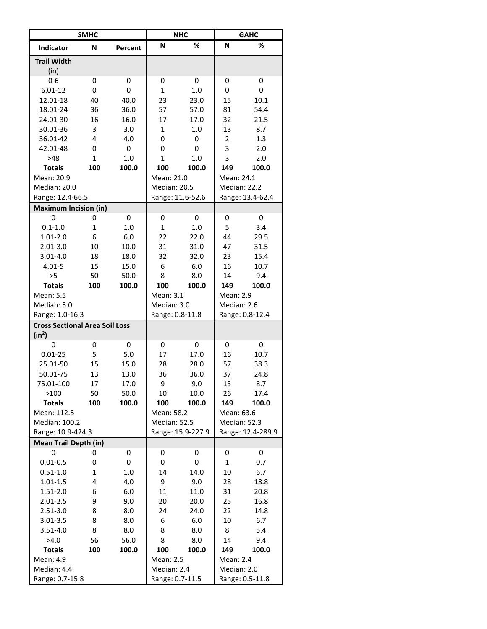|                                                             | <b>SMHC</b>  |         |                 | <b>NHC</b>        |                | <b>GAHC</b>       |
|-------------------------------------------------------------|--------------|---------|-----------------|-------------------|----------------|-------------------|
| <b>Indicator</b>                                            | N            | Percent | N               | %                 | N              | %                 |
| <b>Trail Width</b>                                          |              |         |                 |                   |                |                   |
| (in)                                                        |              |         |                 |                   |                |                   |
| $0 - 6$                                                     | 0            | 0       | 0               | 0                 | 0              | 0                 |
| $6.01 - 12$                                                 | 0            | 0       | $\mathbf{1}$    | 1.0               | 0              | 0                 |
| 12.01-18                                                    | 40           | 40.0    | 23              | 23.0              | 15             | 10.1              |
| 18.01-24                                                    | 36           | 36.0    | 57              | 57.0              | 81             | 54.4              |
| 24.01-30                                                    | 16           | 16.0    | 17              | 17.0              | 32             | 21.5              |
| 30.01-36                                                    | 3            | 3.0     | $\mathbf{1}$    | 1.0               | 13             | 8.7               |
| 36.01-42                                                    | 4            | 4.0     | 0               | 0                 | $\overline{2}$ | 1.3               |
| 42.01-48                                                    | 0            | 0       | 0               | 0                 | 3              | 2.0               |
| >48                                                         | 1            | 1.0     | $\mathbf 1$     | 1.0               | 3              | 2.0               |
| <b>Totals</b>                                               | 100          | 100.0   | 100             | 100.0             | 149            | 100.0             |
| Mean: 20.9                                                  |              |         | Mean: 21.0      |                   | Mean: 24.1     |                   |
| Median: 20.0                                                |              |         | Median: 20.5    |                   | Median: 22.2   |                   |
| Range: 12.4-66.5                                            |              |         |                 | Range: 11.6-52.6  |                | Range: 13.4-62.4  |
| <b>Maximum Incision (in)</b>                                |              |         |                 |                   |                |                   |
| 0                                                           | 0            | 0       | 0               | 0                 | 0              | 0                 |
| $0.1 - 1.0$                                                 | 1            | 1.0     | $\mathbf{1}$    | 1.0               | 5              | 3.4               |
| $1.01 - 2.0$                                                | 6            | 6.0     | 22              | 22.0              | 44             | 29.5              |
| $2.01 - 3.0$                                                | 10           | 10.0    | 31              | 31.0              | 47             | 31.5              |
| $3.01 - 4.0$                                                | 18           | 18.0    | 32              | 32.0              | 23             | 15.4              |
| $4.01 - 5$                                                  | 15           | 15.0    | 6               | 6.0               | 16             | 10.7              |
| >5                                                          | 50           | 50.0    | 8               | 8.0               | 14             | 9.4               |
| <b>Totals</b>                                               | 100          | 100.0   | 100             | 100.0             | 149            | 100.0             |
| Mean: 5.5                                                   |              |         | Mean: 3.1       |                   | Mean: 2.9      |                   |
| Median: 5.0                                                 |              |         | Median: 3.0     |                   | Median: 2.6    |                   |
| Range: 1.0-16.3                                             |              |         | Range: 0.8-11.8 |                   |                | Range: 0.8-12.4   |
| <b>Cross Sectional Area Soil Loss</b><br>(in <sup>2</sup> ) |              |         |                 |                   |                |                   |
| 0                                                           | 0            | 0       | 0               | 0                 | 0              | 0                 |
| $0.01 - 25$                                                 | 5            | 5.0     | 17              | 17.0              | 16             | 10.7              |
| 25.01-50                                                    | 15           | 15.0    | 28              | 28.0              | 57             | 38.3              |
| 50.01-75                                                    | 13           | 13.0    | 36              | 36.0              | 37             | 24.8              |
| 75.01-100                                                   | 17           | 17.0    | 9               | 9.0               | 13             | 8.7               |
| >100                                                        | 50           | 50.0    | 10              | 10.0              | 26             | 17.4              |
| <b>Totals</b>                                               | 100          | 100.0   | 100             | 100.0             | 149            | 100.0             |
| Mean: 112.5                                                 |              |         | Mean: 58.2      |                   | Mean: 63.6     |                   |
| Median: 100.2                                               |              |         | Median: 52.5    |                   | Median: 52.3   |                   |
| Range: 10.9-424.3                                           |              |         |                 | Range: 15.9-227.9 |                | Range: 12.4-289.9 |
| <b>Mean Trail Depth (in)</b>                                |              |         |                 |                   |                |                   |
| 0                                                           | 0            | 0       | 0               | 0                 | 0              | 0                 |
| $0.01 - 0.5$                                                | 0            | 0       | 0               | 0                 | $\mathbf{1}$   | 0.7               |
| $0.51 - 1.0$                                                | $\mathbf{1}$ | $1.0\,$ | 14              | 14.0              | 10             | 6.7               |
| $1.01 - 1.5$                                                | 4            | 4.0     | 9               | 9.0               | 28             | 18.8              |
| $1.51 - 2.0$                                                | 6            | 6.0     | 11              | 11.0              | 31             | 20.8              |
| $2.01 - 2.5$                                                | 9            | 9.0     | 20              | 20.0              | 25             | 16.8              |
| 2.51-3.0                                                    | 8            | 8.0     | 24              | 24.0              | 22             | 14.8              |
| $3.01 - 3.5$                                                | 8            | 8.0     | 6               | 6.0               | 10             | 6.7               |
| $3.51 - 4.0$                                                | 8            | 8.0     | 8               | 8.0               | 8              | 5.4               |
| >4.0                                                        | 56           | 56.0    | 8               | 8.0               | 14             | 9.4               |
| <b>Totals</b>                                               | 100          | 100.0   | 100             | 100.0             | 149            | 100.0             |
| Mean: 4.9                                                   |              |         | Mean: 2.5       |                   | Mean: 2.4      |                   |
| Median: 4.4                                                 |              |         | Median: 2.4     |                   | Median: 2.0    |                   |
| Range: 0.7-15.8                                             |              |         | Range: 0.7-11.5 |                   |                | Range: 0.5-11.8   |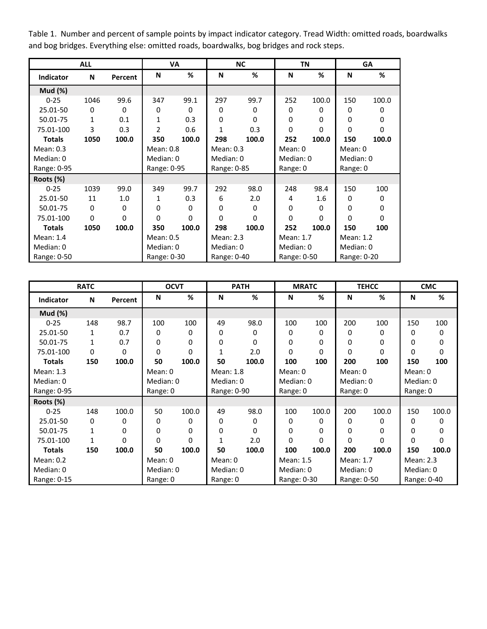Table 1. Number and percent of sample points by impact indicator category. Tread Width: omitted roads, boardwalks and bog bridges. Everything else: omitted roads, boardwalks, bog bridges and rock steps.

|                | <b>ALL</b> |          |                | VA       |             | <b>NC</b> |              | TN       |             | GA       |
|----------------|------------|----------|----------------|----------|-------------|-----------|--------------|----------|-------------|----------|
| Indicator      | N          | Percent  | N              | %        | N           | %         | N            | %        | N           | %        |
| <b>Mud</b> (%) |            |          |                |          |             |           |              |          |             |          |
| $0 - 25$       | 1046       | 99.6     | 347            | 99.1     | 297         | 99.7      | 252          | 100.0    | 150         | 100.0    |
| 25.01-50       | $\Omega$   | $\Omega$ | 0              | $\Omega$ | $\Omega$    | $\Omega$  | $\Omega$     | 0        | 0           | 0        |
| 50.01-75       | 1          | 0.1      | 1              | 0.3      | $\Omega$    | $\Omega$  | $\mathbf{0}$ | $\Omega$ | 0           | $\Omega$ |
| 75.01-100      | 3          | 0.3      | $\overline{2}$ | 0.6      | 1           | 0.3       | $\Omega$     | $\Omega$ | $\Omega$    | $\Omega$ |
| <b>Totals</b>  | 1050       | 100.0    | 350            | 100.0    | 298         | 100.0     | 252          | 100.0    | 150         | 100.0    |
| Mean: 0.3      |            |          | Mean: 0.8      |          | Mean: $0.3$ |           | Mean: 0      |          | Mean: 0     |          |
| Median: 0      |            |          | Median: 0      |          | Median: 0   |           | Median: 0    |          | Median: 0   |          |
| Range: 0-95    |            |          | Range: 0-95    |          | Range: 0-85 |           | Range: 0     |          | Range: 0    |          |
| Roots (%)      |            |          |                |          |             |           |              |          |             |          |
| $0 - 25$       | 1039       | 99.0     | 349            | 99.7     | 292         | 98.0      | 248          | 98.4     | 150         | 100      |
| 25.01-50       | 11         | 1.0      | 1              | 0.3      | 6           | 2.0       | 4            | 1.6      | 0           | 0        |
| 50.01-75       | $\Omega$   | $\Omega$ | 0              | 0        | 0           | 0         | $\Omega$     | 0        | $\Omega$    | $\Omega$ |
| 75.01-100      | $\Omega$   | $\Omega$ | $\Omega$       | 0        | $\Omega$    | $\Omega$  | $\Omega$     | $\Omega$ | $\Omega$    | $\Omega$ |
| <b>Totals</b>  | 1050       | 100.0    | 350            | 100.0    | 298         | 100.0     | 252          | 100.0    | 150         | 100      |
| Mean: 1.4      |            |          | Mean: 0.5      |          | Mean: 2.3   |           | Mean: 1.7    |          | Mean: 1.2   |          |
| Median: 0      |            |          | Median: 0      |          | Median: 0   |           | Median: 0    |          | Median: 0   |          |
| Range: 0-50    |            |          | Range: 0-30    |          | Range: 0-40 |           | Range: 0-50  |          | Range: 0-20 |          |

|                  | <b>RATC</b>  |          |           | <b>OCVT</b> |              | <b>PATH</b> |             | <b>MRATC</b> |             | <b>TEHCC</b> |             | <b>CMC</b>   |
|------------------|--------------|----------|-----------|-------------|--------------|-------------|-------------|--------------|-------------|--------------|-------------|--------------|
| <b>Indicator</b> | N            | Percent  | N         | %           | N            | %           | N           | %            | N           | %            | N           | %            |
| Mud $(\%)$       |              |          |           |             |              |             |             |              |             |              |             |              |
| $0 - 25$         | 148          | 98.7     | 100       | 100         | 49           | 98.0        | 100         | 100          | 200         | 100          | 150         | 100          |
| 25.01-50         | 1            | 0.7      | 0         | 0           | $\Omega$     | 0           | 0           | 0            | 0           | 0            | 0           | 0            |
| 50.01-75         | $\mathbf{1}$ | 0.7      | 0         | 0           | 0            | $\Omega$    | 0           | $\Omega$     | $\Omega$    | $\Omega$     | $\Omega$    | $\Omega$     |
| 75.01-100        | 0            | 0        | 0         | $\Omega$    | 1            | 2.0         | 0           | $\Omega$     | $\Omega$    | $\Omega$     | $\Omega$    | $\mathbf{0}$ |
| <b>Totals</b>    | 150          | 100.0    | 50        | 100.0       | 50           | 100.0       | 100         | 100          | 200         | 100          | 150         | 100          |
| Mean: 1.3        |              |          | Mean: 0   |             | Mean: 1.8    |             | Mean: 0     |              | Mean: 0     |              | Mean: 0     |              |
| Median: 0        |              |          | Median: 0 |             | Median: 0    |             | Median: 0   |              | Median: 0   |              | Median: 0   |              |
| Range: 0-95      |              |          | Range: 0  |             | Range: 0-90  |             | Range: 0    |              | Range: 0    |              | Range: 0    |              |
| Roots (%)        |              |          |           |             |              |             |             |              |             |              |             |              |
| $0 - 25$         | 148          | 100.0    | 50        | 100.0       | 49           | 98.0        | 100         | 100.0        | 200         | 100.0        | 150         | 100.0        |
| 25.01-50         | 0            | 0        | 0         | 0           | $\Omega$     | 0           | 0           | 0            | 0           | 0            | 0           | 0            |
| 50.01-75         | $\mathbf 1$  | $\Omega$ | 0         | 0           | 0            | $\Omega$    | 0           | $\Omega$     | 0           | $\Omega$     | $\Omega$    | 0            |
| 75.01-100        | $\mathbf{1}$ | $\Omega$ | $\Omega$  | $\Omega$    | $\mathbf{1}$ | 2.0         | $\Omega$    | $\Omega$     | $\Omega$    | $\mathbf{0}$ | $\Omega$    | $\mathbf{0}$ |
| <b>Totals</b>    | 150          | 100.0    | 50        | 100.0       | 50           | 100.0       | 100         | 100.0        | 200         | 100.0        | 150         | 100.0        |
| Mean: 0.2        |              |          | Mean: 0   |             | Mean: 0      |             | Mean: 1.5   |              | Mean: 1.7   |              | Mean: 2.3   |              |
| Median: 0        |              |          | Median: 0 |             | Median: 0    |             | Median: 0   |              | Median: 0   |              | Median: 0   |              |
| Range: 0-15      |              |          | Range: 0  |             | Range: 0     |             | Range: 0-30 |              | Range: 0-50 |              | Range: 0-40 |              |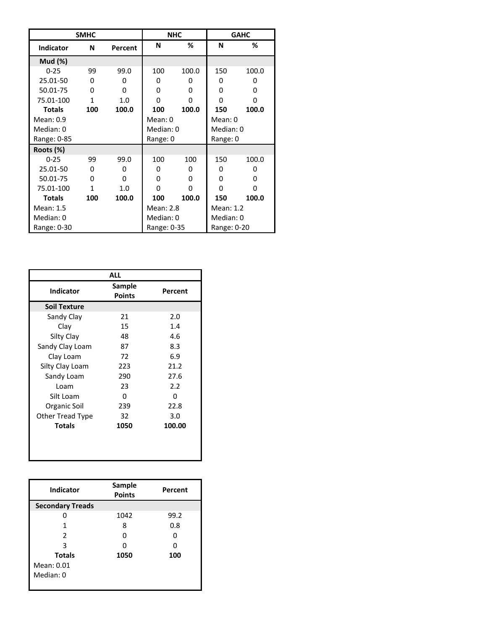|                  | <b>SMHC</b> |          |             | <b>NHC</b> |             | <b>GAHC</b>  |
|------------------|-------------|----------|-------------|------------|-------------|--------------|
| <b>Indicator</b> | N           | Percent  | N           | ℅          | N           | ℅            |
| <b>Mud (%)</b>   |             |          |             |            |             |              |
| $0 - 25$         | 99          | 99.0     | 100         | 100.0      | 150         | 100.0        |
| 25.01-50         | 0           | ŋ        | 0           | 0          | 0           | O            |
| 50.01-75         | 0           | $\Omega$ | 0           | 0          | 0           | 0            |
| 75.01-100        | 1           | 1.0      | O           | 0          | O           | O            |
| <b>Totals</b>    | 100         | 100.0    | 100         | 100.0      | 150         | 100.0        |
| Mean: 0.9        |             |          | Mean: 0     |            | Mean: 0     |              |
| Median: 0        |             |          | Median: 0   |            | Median: 0   |              |
| Range: 0-85      |             |          | Range: 0    |            | Range: 0    |              |
| Roots (%)        |             |          |             |            |             |              |
| $0 - 25$         | 99          | 99.0     | 100         | 100        | 150         | 100.0        |
| 25.01-50         | 0           | 0        | 0           | 0          | 0           | <sup>0</sup> |
| 50.01-75         | O           | $\Omega$ | O           | 0          | 0           | 0            |
| 75.01-100        | 1           | 1.0      | O           | 0          | 0           | 0            |
| <b>Totals</b>    | 100         | 100.0    | 100         | 100.0      | 150         | 100.0        |
| Mean: 1.5        |             |          | Mean: 2.8   |            | Mean: 1.2   |              |
| Median: 0        |             |          | Median: 0   |            | Median: 0   |              |
| Range: 0-30      |             |          | Range: 0-35 |            | Range: 0-20 |              |

| <b>ALL</b>       |                         |         |  |
|------------------|-------------------------|---------|--|
| <b>Indicator</b> | Sample<br><b>Points</b> | Percent |  |
| Soil Texture     |                         |         |  |
| Sandy Clay       | 21                      | 2.0     |  |
| Clay             | 15                      | 1.4     |  |
| Silty Clay       | 48                      | 4.6     |  |
| Sandy Clay Loam  | 87                      | 8.3     |  |
| Clay Loam        | 72                      | 6.9     |  |
| Silty Clay Loam  | 223                     | 21.2    |  |
| Sandy Loam       | 290                     | 27.6    |  |
| Loam             | 23                      | 2.2     |  |
| Silt Loam        | O                       | ŋ       |  |
| Organic Soil     | 239                     | 22.8    |  |
| Other Tread Type | 32                      | 3.0     |  |
| <b>Totals</b>    | 1050                    | 100.00  |  |
|                  |                         |         |  |
|                  |                         |         |  |
|                  |                         |         |  |

| <b>Indicator</b>        | Sample<br><b>Points</b> | Percent |  |
|-------------------------|-------------------------|---------|--|
| <b>Secondary Treads</b> |                         |         |  |
|                         | 1042                    | 99.2    |  |
|                         | 8                       | 0.8     |  |
| $\mathcal{L}$           | O                       | 0       |  |
| ς                       |                         |         |  |
| <b>Totals</b>           | 1050                    | 100     |  |
| Mean: 0.01              |                         |         |  |
| Median: 0               |                         |         |  |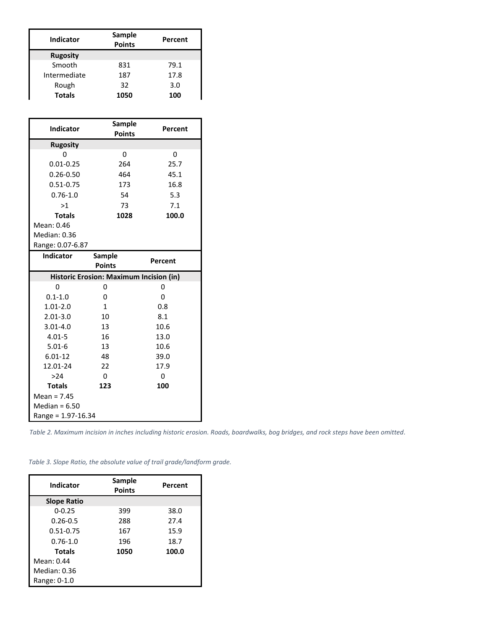| <b>Indicator</b> | Sample<br><b>Points</b> | Percent |
|------------------|-------------------------|---------|
| <b>Rugosity</b>  |                         |         |
| Smooth           | 831                     | 79.1    |
| Intermediate     | 187                     | 17.8    |
| Rough            | 32                      | 3.0     |
| <b>Totals</b>    | 1050                    | 100     |

| <b>Indicator</b>                        | Sample<br><b>Points</b> | Percent |  |
|-----------------------------------------|-------------------------|---------|--|
| <b>Rugosity</b>                         |                         |         |  |
| 0                                       | 0                       | 0       |  |
| $0.01 - 0.25$                           | 264                     | 25.7    |  |
| $0.26 - 0.50$                           | 464                     | 45.1    |  |
| $0.51 - 0.75$                           | 173                     | 16.8    |  |
| $0.76 - 1.0$                            | 54                      | 5.3     |  |
| >1                                      | 73                      | 7.1     |  |
| <b>Totals</b>                           | 1028                    | 100.0   |  |
| Mean: 0.46                              |                         |         |  |
| Median: 0.36                            |                         |         |  |
| Range: 0.07-6.87                        |                         |         |  |
| Indicator                               | Sample                  | Percent |  |
|                                         | <b>Points</b>           |         |  |
| Historic Erosion: Maximum Incision (in) |                         |         |  |
| 0                                       | 0                       | 0       |  |
| $0.1 - 1.0$                             | 0                       | 0       |  |
| $1.01 - 2.0$                            | $\mathbf{1}$            | 0.8     |  |
| $2.01 - 3.0$                            | 10                      | 8.1     |  |
| $3.01 - 4.0$                            | 13                      | 10.6    |  |
| $4.01 - 5$                              | 16                      | 13.0    |  |
| $5.01 - 6$                              | 13                      | 10.6    |  |
| $6.01 - 12$                             | 48                      | 39.0    |  |
| 12.01-24                                | 22                      | 17.9    |  |
| >24                                     | $\Omega$                | 0       |  |
| <b>Totals</b>                           | 123                     | 100     |  |
| Mean = $7.45$                           |                         |         |  |
| Median = $6.50$                         |                         |         |  |
| Range = 1.97-16.34                      |                         |         |  |

*Table 2. Maximum incision in inches including historic erosion. Roads, boardwalks, bog bridges, and rock steps have been omitted.*

| Indicator          | Sample<br><b>Points</b> | Percent |
|--------------------|-------------------------|---------|
| <b>Slope Ratio</b> |                         |         |
| $0 - 0.25$         | 399                     | 38.0    |
| $0.26 - 0.5$       | 288                     | 27.4    |
| $0.51 - 0.75$      | 167                     | 15.9    |
| $0.76 - 1.0$       | 196                     | 18.7    |
| <b>Totals</b>      | 1050                    | 100.0   |
| Mean: 0.44         |                         |         |
| Median: 0.36       |                         |         |
| Range: 0-1.0       |                         |         |

*Table 3. Slope Ratio, the absolute value of trail grade/landform grade.*